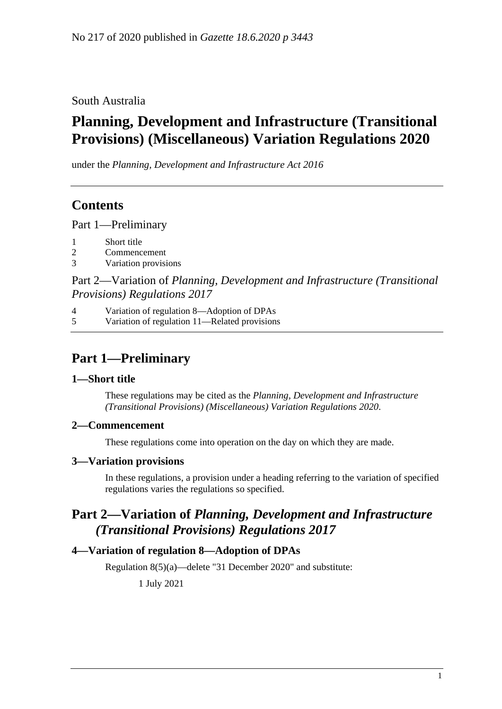South Australia

# **Planning, Development and Infrastructure (Transitional Provisions) (Miscellaneous) Variation Regulations 2020**

under the *Planning, Development and Infrastructure Act 2016*

### **Contents**

Part [1—Preliminary](#page-0-0)

- 1 [Short title](#page-0-1)
- 2 [Commencement](#page-0-2)
- 3 [Variation provisions](#page-0-3)

Part 2—Variation of *[Planning, Development and Infrastructure \(Transitional](#page-0-4)  [Provisions\) Regulations](#page-0-4) 2017*

4 [Variation of regulation 8—Adoption of DPAs](#page-0-5)

5 [Variation of regulation 11—Related provisions](#page-1-0)

## <span id="page-0-0"></span>**Part 1—Preliminary**

#### <span id="page-0-1"></span>**1—Short title**

These regulations may be cited as the *Planning, Development and Infrastructure (Transitional Provisions) (Miscellaneous) Variation Regulations 2020*.

#### <span id="page-0-2"></span>**2—Commencement**

These regulations come into operation on the day on which they are made.

#### <span id="page-0-3"></span>**3—Variation provisions**

In these regulations, a provision under a heading referring to the variation of specified regulations varies the regulations so specified.

### <span id="page-0-4"></span>**Part 2—Variation of** *Planning, Development and Infrastructure (Transitional Provisions) Regulations 2017*

#### <span id="page-0-5"></span>**4—Variation of regulation 8—Adoption of DPAs**

Regulation 8(5)(a)—delete "31 December 2020" and substitute:

1 July 2021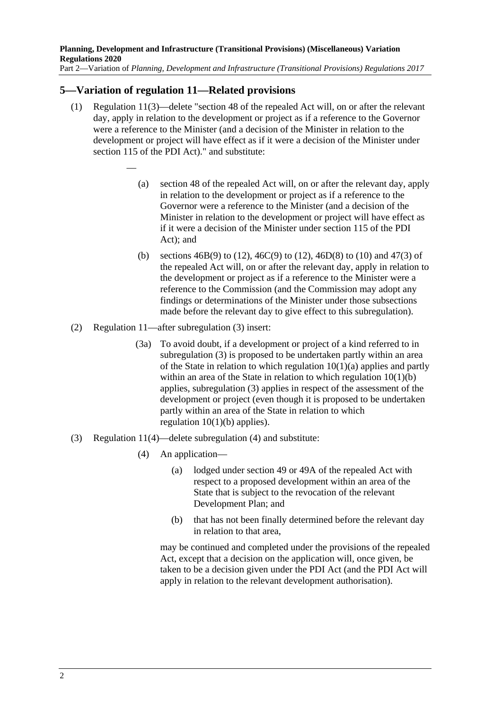#### <span id="page-1-0"></span>**5—Variation of regulation 11—Related provisions**

—

- (1) Regulation 11(3)—delete "section 48 of the repealed Act will, on or after the relevant day, apply in relation to the development or project as if a reference to the Governor were a reference to the Minister (and a decision of the Minister in relation to the development or project will have effect as if it were a decision of the Minister under section 115 of the PDI Act)." and substitute:
	- (a) section 48 of the repealed Act will, on or after the relevant day, apply in relation to the development or project as if a reference to the Governor were a reference to the Minister (and a decision of the Minister in relation to the development or project will have effect as if it were a decision of the Minister under section 115 of the PDI Act); and
	- (b) sections  $46B(9)$  to (12),  $46C(9)$  to (12),  $46D(8)$  to (10) and  $47(3)$  of the repealed Act will, on or after the relevant day, apply in relation to the development or project as if a reference to the Minister were a reference to the Commission (and the Commission may adopt any findings or determinations of the Minister under those subsections made before the relevant day to give effect to this subregulation).
- (2) Regulation 11—after subregulation (3) insert:
	- (3a) To avoid doubt, if a development or project of a kind referred to in subregulation (3) is proposed to be undertaken partly within an area of the State in relation to which regulation  $10(1)(a)$  applies and partly within an area of the State in relation to which regulation  $10(1)(b)$ applies, subregulation (3) applies in respect of the assessment of the development or project (even though it is proposed to be undertaken partly within an area of the State in relation to which regulation  $10(1)(b)$  applies).
- (3) Regulation 11(4)—delete subregulation (4) and substitute:
	- (4) An application—
		- (a) lodged under section 49 or 49A of the repealed Act with respect to a proposed development within an area of the State that is subject to the revocation of the relevant Development Plan; and
		- (b) that has not been finally determined before the relevant day in relation to that area,

may be continued and completed under the provisions of the repealed Act, except that a decision on the application will, once given, be taken to be a decision given under the PDI Act (and the PDI Act will apply in relation to the relevant development authorisation).